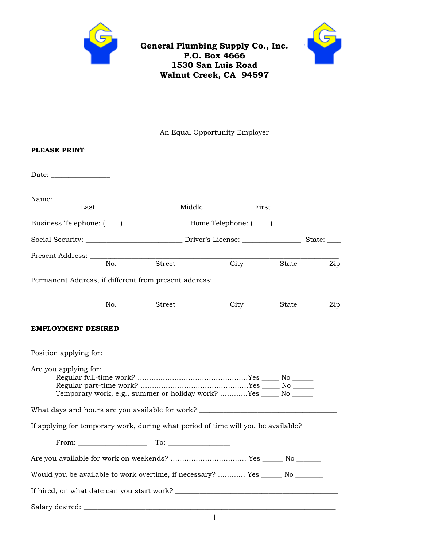

## **General Plumbing Supply Co., Inc. P.O. Box 4666 1530 San Luis Road Walnut Creek, CA 94597**



An Equal Opportunity Employer

# **PLEASE PRINT**  Date: \_\_\_\_\_\_\_\_\_\_\_\_\_\_\_\_\_ Name: \_\_\_\_\_\_\_\_\_\_\_\_\_\_\_\_\_\_\_\_\_\_\_\_\_\_\_\_\_\_\_\_\_\_\_\_\_\_\_\_\_\_\_\_\_\_\_\_\_\_\_\_\_\_\_\_\_\_\_\_\_\_\_\_\_\_\_\_\_\_\_\_\_\_\_\_\_\_\_\_\_\_\_ Last **Middle** First Business Telephone: ( ) \_\_\_\_\_\_\_\_\_\_\_\_\_\_\_\_\_ Home Telephone: ( ) \_\_\_\_\_\_\_\_\_\_\_\_\_\_\_\_\_\_\_ Social Security: \_\_\_\_\_\_\_\_\_\_\_\_\_\_\_\_\_\_\_\_\_\_\_\_\_\_\_\_ Driver's License: \_\_\_\_\_\_\_\_\_\_\_\_\_\_\_\_\_ State: \_\_\_\_ Present Address: \_\_\_\_\_\_\_\_\_\_\_\_\_\_\_\_\_\_\_\_\_\_\_\_\_\_\_\_\_\_\_\_\_\_\_\_\_\_\_\_\_\_\_\_\_\_\_\_\_\_\_\_\_\_\_\_\_\_\_\_\_\_\_\_\_\_\_\_\_\_\_\_ No. Street City State Zip Permanent Address, if different from present address:  $\mathcal{L}_\text{max} = \mathcal{L}_\text{max} = \mathcal{L}_\text{max} = \mathcal{L}_\text{max} = \mathcal{L}_\text{max} = \mathcal{L}_\text{max} = \mathcal{L}_\text{max} = \mathcal{L}_\text{max} = \mathcal{L}_\text{max} = \mathcal{L}_\text{max} = \mathcal{L}_\text{max} = \mathcal{L}_\text{max} = \mathcal{L}_\text{max} = \mathcal{L}_\text{max} = \mathcal{L}_\text{max} = \mathcal{L}_\text{max} = \mathcal{L}_\text{max} = \mathcal{L}_\text{max} = \mathcal{$  No. Street City State Zip **EMPLOYMENT DESIRED**  Position applying for: \_\_\_\_\_\_\_\_\_\_\_\_\_\_\_\_\_\_\_\_\_\_\_\_\_\_\_\_\_\_\_\_\_\_\_\_\_\_\_\_\_\_\_\_\_\_\_\_\_\_\_\_\_\_\_\_\_\_\_\_\_\_\_\_\_\_\_ Are you applying for: Regular full-time work? …………………………………………Yes \_\_\_\_\_ No \_\_\_\_\_\_ Regular part-time work? ………………………………………..Yes \_\_\_\_\_ No \_\_\_\_\_\_ Temporary work, e.g., summer or holiday work? …………Yes \_\_\_\_\_ No \_\_\_\_\_\_ What days and hours are you available for work? \_\_\_\_\_\_\_\_\_\_\_\_\_\_\_\_\_\_\_\_\_\_\_\_\_\_\_\_\_\_\_\_ If applying for temporary work, during what period of time will you be available? From: \_\_\_\_\_\_\_\_\_\_\_\_\_\_\_\_\_\_\_\_ To: \_\_\_\_\_\_\_\_\_\_\_\_\_\_\_\_\_\_ Are you available for work on weekends? …………………………… Yes \_\_\_\_\_\_ No \_\_\_\_\_\_\_ Would you be available to work overtime, if necessary? ............ Yes \_\_\_\_\_\_ No \_\_\_\_\_\_ If hired, on what date can you start work? \_\_\_\_\_\_\_\_\_\_\_\_\_\_\_\_\_\_\_\_\_\_\_\_\_\_\_\_\_\_\_\_\_\_\_\_\_\_\_\_\_\_\_\_\_\_\_ Salary desired: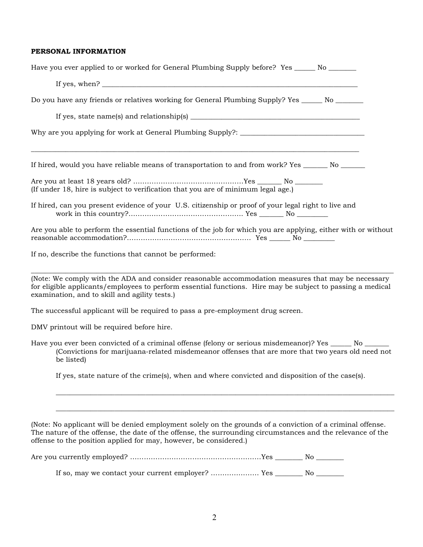#### **PERSONAL INFORMATION**

| Have you ever applied to or worked for General Plumbing Supply before? Yes _______ No ________                                                                                                                                                                                            |
|-------------------------------------------------------------------------------------------------------------------------------------------------------------------------------------------------------------------------------------------------------------------------------------------|
|                                                                                                                                                                                                                                                                                           |
| Do you have any friends or relatives working for General Plumbing Supply? Yes ______ No _______                                                                                                                                                                                           |
| If yes, state name(s) and relationship(s) $\frac{1}{1}$ = $\frac{1}{1}$ = $\frac{1}{1}$ = $\frac{1}{1}$ = $\frac{1}{1}$ = $\frac{1}{1}$ = $\frac{1}{1}$ = $\frac{1}{1}$ = $\frac{1}{1}$ = $\frac{1}{1}$ = $\frac{1}{1}$ = $\frac{1}{1}$ = $\frac{1}{1}$ = $\frac{1}{1}$ = $\frac{1}{1}$ = |
|                                                                                                                                                                                                                                                                                           |
| If hired, would you have reliable means of transportation to and from work? Yes _______ No ______                                                                                                                                                                                         |
| (If under 18, hire is subject to verification that you are of minimum legal age.)                                                                                                                                                                                                         |
| If hired, can you present evidence of your U.S. citizenship or proof of your legal right to live and                                                                                                                                                                                      |
| Are you able to perform the essential functions of the job for which you are applying, either with or without                                                                                                                                                                             |
| If no, describe the functions that cannot be performed:                                                                                                                                                                                                                                   |
| (Note: We comply with the ADA and consider reasonable accommodation measures that may be necessary<br>for eligible applicants/employees to perform essential functions. Hire may be subject to passing a medical<br>examination, and to skill and agility tests.)                         |
| The successful applicant will be required to pass a pre-employment drug screen.                                                                                                                                                                                                           |
| DMV printout will be required before hire.                                                                                                                                                                                                                                                |
| Have you ever been convicted of a criminal offense (felony or serious misdemeanor)? Yes ______ No ______<br>(Convictions for marijuana-related misdemeanor offenses that are more that two years old need not<br>be listed)                                                               |
| If yes, state nature of the crime(s), when and where convicted and disposition of the case(s).                                                                                                                                                                                            |

(Note: No applicant will be denied employment solely on the grounds of a conviction of a criminal offense. The nature of the offense, the date of the offense, the surrounding circumstances and the relevance of the offense to the position applied for may, however, be considered.)

\_\_\_\_\_\_\_\_\_\_\_\_\_\_\_\_\_\_\_\_\_\_\_\_\_\_\_\_\_\_\_\_\_\_\_\_\_\_\_\_\_\_\_\_\_\_\_\_\_\_\_\_\_\_\_\_\_\_\_\_\_\_\_\_\_\_\_\_\_\_\_\_\_\_\_\_\_\_\_\_\_\_\_\_\_\_\_\_\_\_\_\_\_\_\_\_\_\_

\_\_\_\_\_\_\_\_\_\_\_\_\_\_\_\_\_\_\_\_\_\_\_\_\_\_\_\_\_\_\_\_\_\_\_\_\_\_\_\_\_\_\_\_\_\_\_\_\_\_\_\_\_\_\_\_\_\_\_\_\_\_\_\_\_\_\_\_\_\_\_\_\_\_\_\_\_\_\_\_\_\_\_\_\_\_\_\_\_\_\_\_\_\_\_\_\_\_

Are you currently employed? …………………………………………………Yes \_\_\_\_\_\_\_\_ No \_\_\_\_\_\_\_\_

If so, may we contact your current employer? ………………… Yes \_\_\_\_\_\_\_\_ No \_\_\_\_\_\_\_\_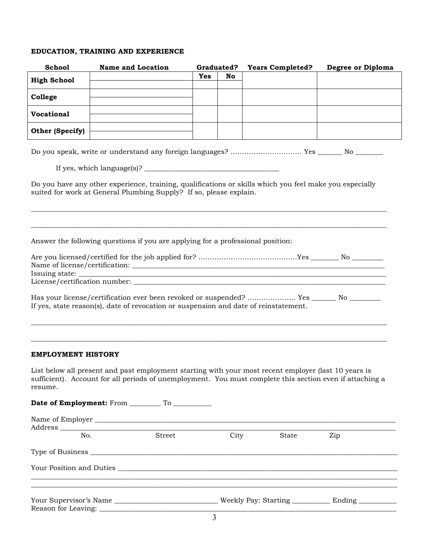## **EDUCATION, TRAINING AND EXPERIENCE**

| <b>School</b>             | <b>Name and Location</b>                                                                                                                                                                                         | Graduated? |      | <b>Years Completed?</b> | Degree or Diploma |
|---------------------------|------------------------------------------------------------------------------------------------------------------------------------------------------------------------------------------------------------------|------------|------|-------------------------|-------------------|
| <b>High School</b>        |                                                                                                                                                                                                                  | <b>Yes</b> | No   |                         |                   |
|                           |                                                                                                                                                                                                                  |            |      |                         |                   |
| College                   |                                                                                                                                                                                                                  |            |      |                         |                   |
| <b>Vocational</b>         |                                                                                                                                                                                                                  |            |      |                         |                   |
| Other (Specify)           |                                                                                                                                                                                                                  |            |      |                         |                   |
|                           | Do you speak, write or understand any foreign languages?  Yes _________ No ________                                                                                                                              |            |      |                         |                   |
|                           |                                                                                                                                                                                                                  |            |      |                         |                   |
|                           | Do you have any other experience, training, qualifications or skills which you feel make you especially<br>suited for work at General Plumbing Supply? If so, please explain.                                    |            |      |                         |                   |
|                           | Answer the following questions if you are applying for a professional position:                                                                                                                                  |            |      |                         |                   |
|                           | Has your license/certification ever been revoked or suspended?  Yes _________ No _______<br>If yes, state reason(s), date of revocation or suspension and date of reinstatement.                                 |            |      |                         |                   |
| <b>EMPLOYMENT HISTORY</b> |                                                                                                                                                                                                                  |            |      |                         |                   |
| resume.                   | List below all present and past employment starting with your most recent employer (last 10 years is<br>sufficient). Account for all periods of unemployment. You must complete this section even if attaching a |            |      |                         |                   |
|                           |                                                                                                                                                                                                                  |            |      |                         |                   |
|                           |                                                                                                                                                                                                                  |            |      |                         |                   |
| No.                       | Street                                                                                                                                                                                                           |            | City | State                   | Zip               |
|                           |                                                                                                                                                                                                                  |            |      |                         |                   |
|                           |                                                                                                                                                                                                                  |            |      |                         |                   |
|                           | Your Supervisor's Name ___________________________________Weekly Pay: Starting ______________________                                                                                                            |            |      |                         |                   |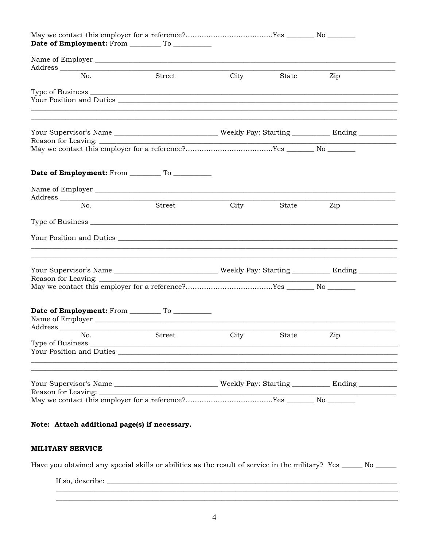| No.<br>Street                                                                                                                                                            | City | State | Zip |
|--------------------------------------------------------------------------------------------------------------------------------------------------------------------------|------|-------|-----|
|                                                                                                                                                                          |      |       |     |
|                                                                                                                                                                          |      |       |     |
|                                                                                                                                                                          |      |       |     |
|                                                                                                                                                                          |      |       |     |
|                                                                                                                                                                          |      |       |     |
| ${\bf Reason\ for\ Leaving:}\ \begin{tabular}{l} {\bf \small Reason\ for\ Leaving:}\ \begin{tabular}{l} {\bf \small Reason\ for\ Leaving:}\ \end{tabular} \end{tabular}$ |      |       |     |
|                                                                                                                                                                          |      |       |     |
|                                                                                                                                                                          |      |       |     |
|                                                                                                                                                                          |      |       |     |
| No.<br>Street                                                                                                                                                            | City | State | Zip |
|                                                                                                                                                                          |      |       |     |
|                                                                                                                                                                          |      |       |     |
|                                                                                                                                                                          |      |       |     |
|                                                                                                                                                                          |      |       |     |
|                                                                                                                                                                          |      |       |     |
|                                                                                                                                                                          |      |       |     |
|                                                                                                                                                                          |      |       |     |
| Street<br>No.                                                                                                                                                            | City | State | Zip |
|                                                                                                                                                                          |      |       |     |
|                                                                                                                                                                          |      |       |     |
|                                                                                                                                                                          |      |       |     |
|                                                                                                                                                                          |      |       |     |
| Reason for Leaving:                                                                                                                                                      |      |       |     |
|                                                                                                                                                                          |      |       |     |

## **MILITARY SERVICE**

Have you obtained any special skills or abilities as the result of service in the military? Yes \_\_\_\_\_ No \_\_\_\_\_

If so, describe:  $\sqrt{\frac{2}{\pi}}$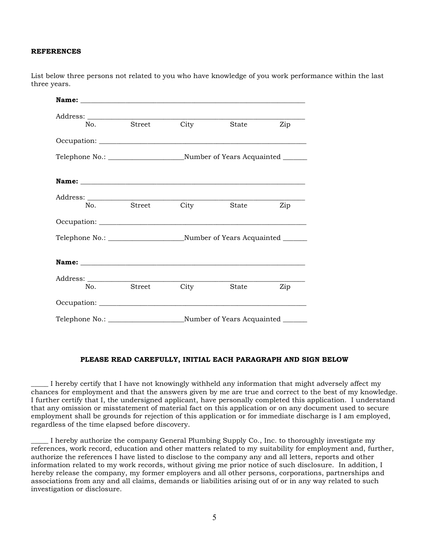### **REFERENCES**

List below three persons not related to you who have knowledge of you work performance within the last three years.

| No. | Street | City | State | Zip |  |  |
|-----|--------|------|-------|-----|--|--|
|     |        |      |       |     |  |  |
|     |        |      |       |     |  |  |
|     |        |      |       |     |  |  |
|     |        |      |       |     |  |  |
| No. | Street | City | State | Zip |  |  |
|     |        |      |       |     |  |  |
|     |        |      |       |     |  |  |
|     |        |      |       |     |  |  |
|     |        |      |       |     |  |  |
| No. | Street | City | State | Zip |  |  |
|     |        |      |       |     |  |  |
|     |        |      |       |     |  |  |

### **PLEASE READ CAREFULLY, INITIAL EACH PARAGRAPH AND SIGN BELOW**

\_\_\_\_\_ I hereby certify that I have not knowingly withheld any information that might adversely affect my chances for employment and that the answers given by me are true and correct to the best of my knowledge. I further certify that I, the undersigned applicant, have personally completed this application. I understand that any omission or misstatement of material fact on this application or on any document used to secure employment shall be grounds for rejection of this application or for immediate discharge is I am employed, regardless of the time elapsed before discovery.

\_\_\_\_\_ I hereby authorize the company General Plumbing Supply Co., Inc. to thoroughly investigate my references, work record, education and other matters related to my suitability for employment and, further, authorize the references I have listed to disclose to the company any and all letters, reports and other information related to my work records, without giving me prior notice of such disclosure. In addition, I hereby release the company, my former employers and all other persons, corporations, partnerships and associations from any and all claims, demands or liabilities arising out of or in any way related to such investigation or disclosure.